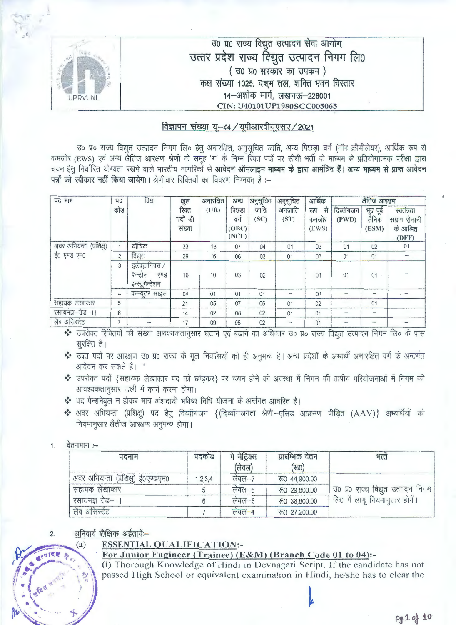|                | उ० प्र० राज्य विद्युत उत्पादन सेवा आयोग,             |
|----------------|------------------------------------------------------|
|                | उत्तर प्रदेश राज्य विद्युत उत्पादन निगम लि0          |
|                | ( उ० प्र० सरकार का उपकम)                             |
|                | कक्ष संख्या 1025, दश् <i>म</i> तल, शक्ति भवन विस्तार |
| <b>UPRVUNL</b> | 14–अशोक मार्ग, लखनऊ–226001                           |
|                | CIN: U40101UP1980SGC005065                           |

 $\frac{f\overline{f}}{f}$  -44 / यूपीआरवीयूएसए / 2021<br>-<br>Jo प्र० राज्य विद्युत उत्पादन निगम लि० हेतु अनारक्षित, अनुसूचित जाति, अन्य पिछड़ा वर्ग (नॉन क्रीमीलेयर), आर्थिक रूप से cfllwffi **(EWS)** ~ 3Rf ~ 3ITTeruf ~ *cfi* ~ 'Tf' *cfi* ~ ftm ~ 1:Jx mJt ~ *cfi* lfTur=f ~ Slffi<TilJlc·iic/5 'lfrerr IDx1 चयन हेतु निर्धारित योग्यता रखने वाले भारतीय नागरिकों से आवेदन ऑनलाइन माध्यम के द्वारा आमंत्रित हैं। अन्य माध्यम से प्राप्त आवेदन पत्रों को स्वीकार नहीं किया जायेगा। श्रेणीवार रिक्तियों का विवरण निम्नवत है :--

| पद नाम                   | पद             | विधा                                                      | कुल                        | अनारक्षित | अन्य                            | अनुसूचित     | अनुसूचित       | आर्थिक                      |                                                                     | क्षैतिज आरक्षण              |                                                    |
|--------------------------|----------------|-----------------------------------------------------------|----------------------------|-----------|---------------------------------|--------------|----------------|-----------------------------|---------------------------------------------------------------------|-----------------------------|----------------------------------------------------|
|                          | कोड            |                                                           | रिक्त<br>पदों की<br>संख्या | (UR)      | पिछडा<br>वर्ग<br>(OBC)<br>(NCL) | जाति<br>(SC) | जनजाति<br>(ST) | से<br>रूप<br>कमजोर<br>(EWS) | दिव्यॉगजन<br>(PWD)                                                  | भूत पूर्व<br>सैनिक<br>(ESM) | स्वतंत्रता<br>संग्राम सेनानी<br>के आश्रित<br>(DFF) |
| अवर अभियन्ता (प्रशिक्षु) |                | यॉत्रिक                                                   | 33                         | 18        | 07                              | 04           | 01             | 03                          | 01                                                                  | 02                          | 01                                                 |
| ई0 एण्ड एम0              | $\overline{2}$ | विद्युत                                                   | 29                         | 16        | 06                              | 03           | 01             | 03                          | 01                                                                  | 01                          |                                                    |
|                          | 3              | इलेक्ट्रानिक्स /<br>कन्ट्रोल<br>एण्ड<br>इन्स्ट्रूमेन्टेशन | 16                         | 10        | 03                              | 02           |                | 01                          | 01                                                                  | 01                          |                                                    |
|                          | 4              | कम्प्यूटर साइंस                                           | 04                         | 01        | 01                              | 01           |                | 01                          |                                                                     |                             |                                                    |
| सहायक लेखाकार            | 5              |                                                           | 21                         | 05        | 07                              | 06           | 01             | 02                          | $\frac{1}{2} \left( \frac{1}{2} \right) \left( \frac{1}{2} \right)$ | 01                          |                                                    |
| रसायनज्ञ-ग्रेड-।।        | 6              |                                                           | 14                         | 02        | 08                              | 02           | 01             | 01                          |                                                                     |                             |                                                    |
| लैब असिस्टेंट            | $\overline{7}$ |                                                           | 17                         | 09        | 05                              | 02           |                | 01                          | $\sim$                                                              |                             |                                                    |

- उपरोक्त रिक्ति<br>सुरक्षित है। •!• '3cKf ~ 1:Jx 3ITTeruf \JO >fO ~ *cfi* 1rff ~cllRili'i cITT tr ~ *<sup>t</sup>*I 3Rf ~ *cfi* 3P~0T ~ cr.f *cfi* 3RrRf
- आवेदन कर सकते हैं। "
- • उपरोक्त पदों {सहायक लेखाकार पद को छोड़कर} पर चयन होने की अवस्था में निगम की तापीय परियोजनाओं में निगम की आवश्यकतानुसार पाली में कार्य करना होगा।
- • पद पेन्शनेबुल न होकर मात्र अंशदायी भविष्य निधि योजना के अर्न्तगत आवरित है।
- 37 अवर अभियन्ता (प्रशिक्षु) पद हेतु दिव्यॉगजन { (दिव्यॉगजनता श्रेणी-एसिड आक्रमण पीड़ित (AAV)} अभ्यर्थियों को नियमानुसार क्षैतीज आरक्षण अनुमन्य होगा।
- 1. वेतनमान $:=$

{I **·**

 $\vert \cdot \vert$ 

 $\mathbf{a}$  ,  $\mathbf{b}$  ,  $\mathbf{a}$ 

 $\epsilon_{\rm max}$ 

| पदनाम                              | पदकोड   | पे मेट्रिक्स<br>(लेबल) | प्रारम्भिक वेतन<br>(रत0) | भत्तें                             |
|------------------------------------|---------|------------------------|--------------------------|------------------------------------|
| अवर अभियन्ता (प्रशिक्षु) ई0एण्डएम0 | 1,2,3,4 | लंबल-7                 | रु0 44,900.00            |                                    |
| सहायक लेखाकार                      |         | लेबल–5                 | での 29,800.00             | उ0 प्र0 राज्य विद्युत उत्पादन निगम |
| रसायनज्ञ ग्रेड–।।                  |         | लेबल $-6$              | रु0 36,800.00            | लि0 में लागू नियमानुसार होगें।     |
| लैब असिस्टेंट                      |         | लंबल-4                 | <b>での 27,200.00</b>      |                                    |

#### 2. अनिवार्य शैक्षिक अर्हतायें≔

## **ESSENTIAL QUALIFICATION:-**

 $\left\{ \mathbf{v}^{\text{max}}_{\text{max}}\right\}$ 

# (a) **ESSENTIAL QUALIFICATION:**<br>For Junior Engineer (Trainee) (E&M) (Branch Code 01 to 04):-

(i) Thorough Knowledge of Hindi in Devnagari Script. If the candidate has not passed High School or equivalent examination in Hindi, he/she has to clear the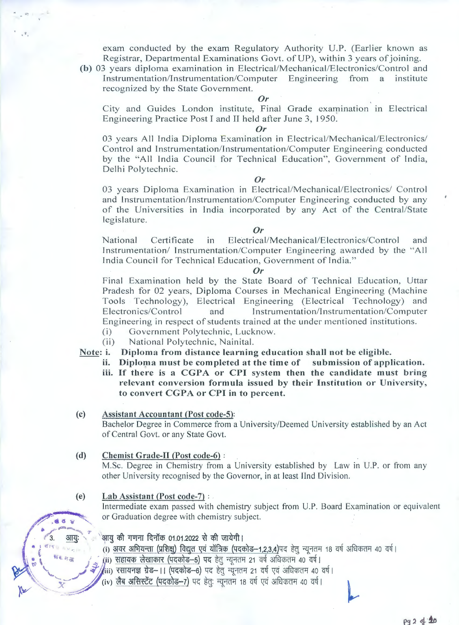exam conducted by the exam Regulatory Authority U.P. (Earlier known as Registrar, Departmental Examinations Govt. of UP), within 3 years of joining.

**(b)** 03 years diploma examination in Electrical/Mechanical/Electronics/Control and Instrumentation/Instrumentation/Computer Engineering from a institute recognized by the State Government.

#### *Or*

City and Guides London institute, Final Grade examination in Electrical Engineering Practice Post I and II held afler June 3, 1950.

#### *Or*

03 years All India Diploma Examination in Electrical/Mechanical/Electronics/ Control and Instrumentation/Instrumentation/Computer Engineering conducted by the "All India Council for Technical Education", Government of India, Delhi Polytechnic.

#### *Or*

03 years Diploma Examination in Electrical/Mechanical/Electronics/ Control and Instrumentation/Instrumentation/Computer Engineering conducted by any of the Universities in India incorporated by any Act of the Central/State legislature.

#### *Or*

National Certificate in Electrical/Mechanical/Electronics/Control and Instrumentation/ Instrumentation/Computer Engineering awarded by the " All India Council for Technical Education, Government of India."

#### *Or*

Final Examination held by the State Board of Technical Education, Uttar Pradesh for 02 years, Diploma Courses in Mechanical Engineering (Machine Tools Technology), Electrical Engineering (Electrical Technology) and Electronics/Control and Instrumentation/Instrumentation/Computer Engineering in respect of students trained at the under mentioned institutions.

- (i) Government Polytechnic, Lucknow.
- (ii) National Polytechnic, Nainital.

**Note:** i. **Diploma from distance learning education shall not be eligible.** 

- ii. **Diplorna must be completed at the time of submission of application.**
- iii. If **there is a CGPA or CPI system then the candidate must bring relevant conversion formula issued by their Institution or University, to convert CGPA or CPI in to percent.**

#### **(c)** Assistant Accountant (Post code-5):

Bachelor Degree in Commerce from a University/Deemed University established by an Act of Central Govt. or any State Govt.

#### **(d) Chemist Grade-II (Post\_ code-6)** :

M.Sc. Degree in Chemistry from a University established by Law in U.P. or from any other University recognised by the Governor, in at least Ilnd Division.

#### **(e) Lab Assistant (Post code-7)** :

巍

野长井西

3

आयः

Intermediate exam passed with chemistry subject from U.P. Board Examination or equivalent or Graduation degree with chemistry subject.

#### आयु की गणना दिनॉक 01.01.2022 से की जायेगी।

(i) अवर अभियन्ता (प्रशिक्षु) विद्युत एवं यॉत्रिक (पदकोड-1,2,3,4)पद हेतु न्यूनतम 18 वर्ष अधिकतम 40 वर्ष।

- (ii) सहायक लेखाकार (पदकोड--5) पद हेत् न्यूनतम 21 वर्ष अधिकतम 40 वर्ष।
- (iii) रसायनज्ञ ग्रेड- ।। (पदकोड-6) पद हेतु न्यूनतम 21 वर्ष एवं अधिकतम 40 वर्ष।
- (iv) लैब असिस्टेंट (पदकोड-7) पद हेतुः न्यूनतम 18 वर्ष एवं अधिकतम 40 वर्ष।

pg 2 of 20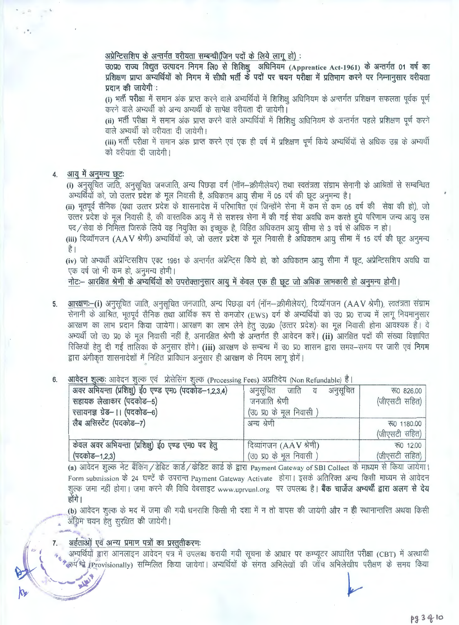अप्रेन्टिसशिप के अन्तर्गत वरीयता सम्बन्धी(जिन पदों के लिये लाग हो) :

अप्रेन्टिसशिप के अन्तर्गत वरीयता सम्बन्धी(जिन पदों के लिये लागू हो) :<br>उ०प्र० राज्य विद्युत उत्पादन निगम लि० से शिशिक्षु अधिनियम (Apprentice Act-1961) के अन्तर्गत 01 वर्ष का उ0प्र0 राज्य विद्युत उत्पादन निगम लि0 से शिशिक्षु अधिनियम (Apprentice Act-1961) के अन्तर्गत 01 वर्ष का<br>प्रशिक्षण प्राप्त अभ्यर्थियों को निगम में सीधी भर्ती के पदों पर चयन परीक्षा में प्रतिभाग करने पर निम्नानुसार वरीयता प्रशिक्षण प्राप्त अभ्यर्थियों को निगम में सीधी भर्ती के पदों पर चयन परीक्षा में प्रतिभाग करने पर निम्नानुसार वरीयता<br>प्रदान की जायेगी :

(i) भर्ती प**री**क्षा में समान अंक प्राप्त करने वाले अभ्यर्थियों में शिशिक्ष अधिनियम के अन्तर्गत प्रशिक्षण सफलता पूर्वक पूर्ण करने वाले अभ्यर्थी को अन्य अभ्यर्थी के सापेक्ष वरीयता दी जायेगी।

(ii) भर्ती परीक्षा में समान अंक प्राप्त करने वाले अभ्यर्थियों में शिशिक्ष अधिनियम के अन्तर्गत पहले प्रशिक्षण पर्ण करने वाले अभ्यर्थी को वरीयता दी जायेगी।

(iii) भर्ती परीक्षा में समान अंक प्राप्त करने एवं एक ही वर्ष में प्रशिक्षण पूर्ण किये अभ्यर्थियों से अधिक उम्र के अभ्यर्थी को वरीयता दी जायेगी।

#### 4. आयु में अनुमन्य छूटः

 $\mathbb{F}_q$ 

<mark>आयु में अनुमन्य छूटः</mark><br>(i) अनुसूचित जाति, अनुसूचित जनजाति, अन्य पिछड़ा वर्ग (नॉन—क्रीमीलेयर) तथा स्वतंत्रता संग्राम सेनानी के आश्रितों से सम्बन्धित i) अनुसूचित जाति, अनुसूचित जनजाति, अन्य पिछड़ा वर्ग (नॉन—क्रीमीलेयर) तथा स्वतंत्रता संग्राम सेन<br>अभ्यर्थियों को, जो उत्तर प्रदेश के मूल निवासी है, अधिकतम आयु सीमा में 05 वर्ष की छूट अनुमन्य है। अभ्यर्थियों को, जो उत्तर प्रदेश के मूल निवासी है, अधिकतम आयु सीमा में 05 वर्ष की छूट अनुमन्य है।<br>(ii) भूतपूर्व सैनिक (यथा उत्तर प्रदेश के शासनादेश में परिभाषित एवं जिन्होंने सेना में कम से कम 05 वर्ष की सेवा की हो), जो

उत्तर प्रदेश के मूल निवासी है, की वास्तविक आयू में से सशस्त्र सेना में की गई सेवा अवधि कम करते हुये परिणाम जन्य आयू उस पद/सेवा के निर्मित्त जिसके लिये वह नियुक्ति का इच्छुक है, विहित अधिकतम आयु सीमा से 3 वर्ष से अधिक न हो।

(iii) दिव्यॉगजन (AAV श्रेणी) अभ्यर्थियों को, जो उत्तर प्रदेश के मूल निवासी है अधिकतम आयु सीमा में 15 वर्ष की छूट अनुमन्य t1

(iv) जो अभ्यर्थी अप्रेन्टिसशिप एक्ट 1961 के अन्तर्गत अप्रेन्टिस किये हो, को अधिकतम आयु सीमा में छूट, अप्रेन्टिसशिप अवधि या एक वर्ष जो भी कम हो, अनुमन्य होगी।

. नोट:- आरक्षित श्रेणी के अभ्यर्थियों को उपरोक्तानुसार आयू में केवल एक ही छूट जो अधिक लाभकारी हो अनुमन्य होगी।

- 5. 3ffialUT:-(i) ~ ~. ~ 01101,rti, ~ ~ clif (~-w"lli1 1crl <1x), Rai'fi1011 (AA V wifi), ~ ~ सेनानी के आश्रित, भूतपूर्व सैनिक तथा आर्थिक रूप से कमजोर (EWS) वर्ग के अभ्यर्थियों को उ0 प्र0 राज्य में लागू नियमानुसार आरक्षण का लाभ प्रदान किया जायेगा। आरक्षण का लाभ लेने हेतु उ0प्र0 (उत्तर प्रदेश) का मूल निवासी होना आवश्यक है। वे 3म्पर्थी जो उ0 प्र0 के मूल निवासी नहीं है, अनारक्षित श्रेणी के अन्तर्गत ही आवेदन करें। (ii) आरक्षित पदों की संख्या विज्ञापित रिक्तियों हेतू दी गई तालिका के अनुसार होंगे। (iii) आरक्षण के सम्बन्ध में उ0 प्र0 शासन द्वारा समय-समय पर जारी एवं **निगम** द्वारा अंगीकृत शासनादेशों में निहित प्राविधान अनुसार ही आरक्षण के नियम लागू होगें।
- (Processing Fees) अप्रतिदेय (Non Refundable) है।<br>| 6.

| आवेदन शुल्कः आवेदन शुल्क एवं प्रोसेसिंग शुल्क (Processing Fees) अप्रतिदेय (Non Refundable) हैं। |                          |                    |
|-------------------------------------------------------------------------------------------------|--------------------------|--------------------|
| अवर अभियन्ता (प्रशिक्षु) ई0 एण्ड एम0 (पदकोड-1,2,3,4)                                            | अनुसूचित जाति व अनुसूचित | <b>स्त0 826.00</b> |
| सहायक लेखाकार (पदकोड–5)                                                                         | जनजाति श्रेणी            | (जीएसटी सहित)      |
| रसायनज्ञ ग्रेड-।। (पदकोड-6)                                                                     | (उ० प्र० के मूल निवासी)  |                    |
| लैब असिस्टेंट (पदकोड-7)                                                                         | अन्य श्रेणी              | रु0 1180.00        |
|                                                                                                 |                          | (जीएसटी सहित)      |
| केवल अवर अभियन्ता (प्रशिक्षु) ई0 एण्ड एम0 पद हेतु                                               | दिव्यांगजन (AAV श्रेणी)  | रू0 12.00          |
| (पदकोड–1,2,3)                                                                                   | (उ० प्र० के मूल निवासी)  | (जीएसटी सहित)      |

(a) आवेदन शुल्क नेट बैंकिंग / डेबिट कार्ड / केडिट कार्ड के द्वारा Payment Gateway of SBI Collect के माध्यम से किया जायेगा। Form submission के 24 घण्टें के उपरान्त Payment Gateway Activate होगा। इसके अतिरिक्त अन्य किसी माध्यम से आवेदन शुल्क जमा नहीं होगा। जमा करने की विधि वेबसाइट www.uprvunl.org पर उपलब्ध है। **बैंक चार्जेज अभ्यर्थी द्वारा अलग से देय** होंगे।

(b) आवेदन शुल्क के मद में जमा की गयी धनराशि किसी भी दशा में न तो वापस की जायेगी और न ही स्थानान्तरित अथवा किसी  $\frac{1}{2}$ श्रेम चयन हेत् सुरक्षित की जायेगी।

#### अर्हताओं एवं अन्य प्रमाण पत्रों का प्रस्तुतीकरणः 7.

अभ्यर्थियों द्वारा आनलाइन आवेदन पत्र में उपलब्ध करायी गयी सूचना के आधार पर कम्प्यूटर आधारित परीक्षा (CBT) में अस्थायी ु अभ्यर्थियों द्वारा आनलाइन आवेदन पत्र में उपलब्ध करायी गयी सूचना के आधार पर कम्प्यूटर आधारित परीक्षा (CBT) में अस्थायी<br>रेडर्ज स्त्रे (Provisionally) सम्मिलित किया जायेगा। अभ्यर्थियों के संगत अभिलेखों की जॉच अभिलेखीय परी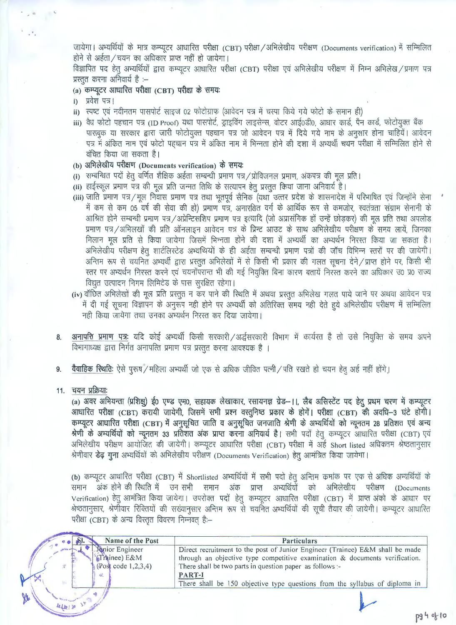जायेगा। अभ्यर्थियों के मात्र कम्प्यूटर आधारित परीक्षा (CBT) परीक्षा /अभिलेखीय परीक्षण (Documents verification) में सम्मिलित होने से अर्हता / चयन का अधिकार प्राप्त नहीं हो जायेगा।

विज्ञापित पद हेत अभ्यर्थियों द्वारा कम्प्यूटर आधारित परीक्षा (CBT) परीक्षा एवं अभिलेखीय परीक्षण में निम्न अभिलेख /प्रमाण पत्र प्रस्तत करना अनिवार्य है :--

### (a) कम्प्यूटर आधारित परीक्षा (CBT) परीक्षा के समय:

i) प्रवेश पत्र।

 $\sim$   $^{6}$   $_{s}$ 

- ii) स्पष्ट एवं नवीनतम पासपोर्ट साइज 02 फोटोग्राफ (आवेदन पत्र में चस्पा किये गये फोटो के समान ही)
- iii) वैध फोटो पहचान पत्र (ID Proof) यथा पासपोर्ट, ड्राइविंग लाइसेन्स, वोटर आई0डी0, आधार कार्ड, पैन कार्ड, फोटोयुक्त बैंक पासबुक या सरकार द्वारा जारी फोटोयुक्त पहचान पत्र जो आवेदन पत्र में दिये गये नाम के अनुसार होना चाहियें। आवेदन पत्र में अंकित नाम एवं फोटो पहचान पत्र में अंकित नाम में भिन्नता होने की दशा में अभ्यर्थी चयन परीक्षा में सम्मिलित होने से वंचित किया जा सकता है।
- (b) अभिलेखीय परीक्षण (Documents verification) के समयः
- (i) सम्बन्धित पदों हेतू वर्णित शैक्षिक अर्हता सम्बन्धी प्रमाण पत्र / प्रोविजनल प्रमाण, अंकपत्र की मूल प्रति।
- (ii) हाईस्कूल प्रमाण पत्र की मूल प्रति जन्मत तिथि के सत्यापन हेतू प्रस्तुत किया जाना अनिवार्य है।
- (iii) जाति प्रमाण पत्र / मूल निवास प्रमाण पत्र तथा भूतपूर्व सैनिक (यथा उत्तर प्रदेश के शासनादेश में परिभाषित एवं जिन्होंने सेना में कम से कम 05 वर्ष की सेवा की हो) प्रमाण पत्र, अनारक्षित वर्ग के आर्थिक रूप से कमजोर, स्वतंत्रता संग्राम सेनानी के आश्रित होने सम्बन्धी प्रमाण पत्र/अप्रेन्टिसशिप प्रमाण पत्र इत्यादि (जो अप्रासंगिक हों उन्हें छोड़कर) की मूल प्रति तथा अपलोड प्रमाण पत्र /अभिलखों की प्रति ऑनलाइन आवेदन पत्र के प्रिन्ट आउट के साथ अभिलेखीय परीक्षण के समय लायें, जिनका मिलान मल प्रति से किया जायेगा जिसमें भिन्नता होने की दशा में अभ्यर्थी का अभ्यर्थन निरस्त किया जा सकता है। अभिलेखीय परीक्षण हेतु शार्टलिस्टेड अभ्यथियों के ही अर्हता सम्बन्धी प्रमाण पत्रों की जॉच विभिन्न स्तरों पर की जायेगी। अन्तिम रूप से चयनित अभ्यर्थी द्वारा प्रस्तूत अभिलेखों में से किसी भी प्रकार की गलत सूचना देने/प्राप्त होने पर, किसी भी रतर पर अभ्यर्थन निरस्त करने एवं चयनोंपरान्त भी की गई नियुक्ति बिना कारण बतायें निरस्त करने का अधिकार उ0 प्र0 राज्य विद्युत उत्पादन निगम लिमिटेड के पास सुरक्षित रहेगा।
- (iv) वॉछित अभिलेखों की मूल प्रति प्रस्तुत न कर पाने की रिथति में अथवा प्रस्तुत अभिलेख गलत पाये जाने पर अथवा आवेदन पत्र में दी गई सूचना विज्ञापन के अनुरूप नही होने पर अभ्यर्थी को अतिरिक्त समय नही देते हुये अभिलेखीय परीक्षण में सम्मिलित नही किया जायेगा तथा उनका अभ्यर्थन निरस्त कर दिया जायेगा।
- अनापत्ति प्रमाण पत्रः यदि कोई अभ्यर्थी किसी सरकारी/अर्द्धसरकारी विभाग में कार्यरत है तो उसे नियुक्ति के समय अपने 8. विभागाध्यक्ष द्वारा निर्गत अनापत्ति प्रमाण पत्र प्रस्तुत करना आवश्यक है ।
- वैवाहिक स्थितिः ऐसे पुरूष / महिला अभ्यर्थी जो एक से अधिक जीवित पत्नी / पति रखते हो चयन हेतु अर्ह नहीं होंगे। 9.
- 11. चयन प्रक्रिया

(a) अवर अभियन्ता (प्रशिक्षु) ई0 एण्ड एम0, सहायक लेखाकार, रसायनज्ञ ग्रेड-11, लैब असिस्टेंट पद हेतु प्रथम चरण में कम्प्यूटर आधारित परीक्षा (CBT) करायी जायेगी, जिसमें सभी प्रश्न वस्तुनिष्ठ प्रकार के होगें। परीक्षा (CBT) की अवधि–3 घंटे होगी। कम्प्यूटर आधारित परीक्षा (CBT) में अनुसूचित जाति व अनुसूचित जनजाति श्रेणी के अभ्यर्थियों को न्यूनतम 28 प्रतिशत एवं अन्य श्रेणी के अभ्यर्थियों को न्यूनतम 33 प्रतिशत अंक प्राप्त करना अनिवार्य है। सभी पदों हेतु कम्प्यूटर आधारित परीक्षा (CBT) एवं अभिलेखीय परीक्षण आयोजित की जायेगी। कम्प्यूटर आधारित परीक्षा (CBT) परीक्षा में अई Short listed अधिकतम श्रेष्ठतानुसार श्रेणीवार **डेढ़ गुना** अभ्यर्थियों को अभिलेखीय परीक्षण (Documents Verification) हेतु आमंत्रित किया जायेगा।

(b) कम्प्यूटर आधारित परीक्षा (CBT) में Shortlisted अभ्यर्थियों में सभी पदों हेतु अन्तिम कमांक पर एक से अधिक अभ्यर्थियों के समान अंक होने की रिथति में उन सभी समान अंक प्राप्त अभ्यर्थियों को अभिलेखीय परीक्षण (Documents Verification) हेतु आमंत्रित किया जायेगा। उपरोक्त पदों हेतु कम्प्यूटर आधारित परीक्षा (CBT) में प्राप्त अंको के आधार पर श्रेष्ठतानुसार, श्रेणीवार रिक्तियों की सख्यानुसार अन्तिम रूप से चयनित अभ्यर्थियों की सूची तैयार की जायेगी। कम्प्यूटर आधारित परीक्षा (CBT) के अन्य विस्तृत विवरण निम्नवत् है:-

| Name of the Post                                        | <b>Particulars</b>                                                                                                                                                                                                       |
|---------------------------------------------------------|--------------------------------------------------------------------------------------------------------------------------------------------------------------------------------------------------------------------------|
| Minior Engineer<br>(Trainee) E&M<br>(Post code 1,2,3,4) | Direct recruitment to the post of Junior Engineer (Trainee) E&M shall be made<br>through an objective type competitive examination & documents verification.<br>There shall be two parts in question paper as follows :- |
| Ġſ.                                                     | PART-I<br>There shall be 150 objective type questions from the syllabus of diploma in                                                                                                                                    |
| Vte                                                     |                                                                                                                                                                                                                          |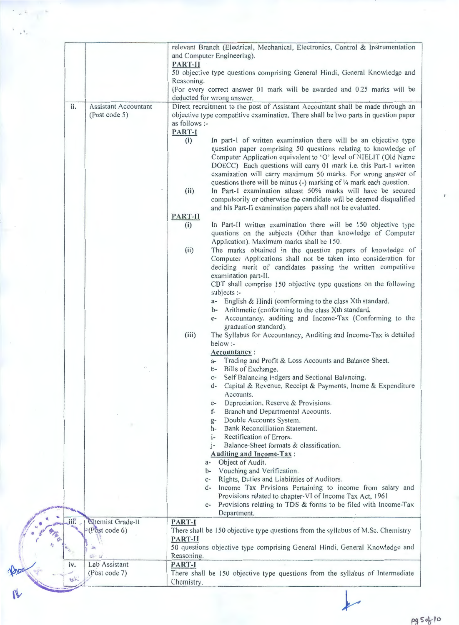|      |                                                     | relevant Branch (Electrical, Mechanical, Electronics, Control & Instrumentation<br>and Computer Engineering).<br>PART-II<br>50 objective type questions comprising General Hindi, General Knowledge and<br>Reasoning.<br>(For every correct answer 01 mark will be awarded and 0.25 marks will be                                                                                                                                                                                                                                                                                                                                                             |
|------|-----------------------------------------------------|---------------------------------------------------------------------------------------------------------------------------------------------------------------------------------------------------------------------------------------------------------------------------------------------------------------------------------------------------------------------------------------------------------------------------------------------------------------------------------------------------------------------------------------------------------------------------------------------------------------------------------------------------------------|
|      |                                                     | deducted for wrong answer.                                                                                                                                                                                                                                                                                                                                                                                                                                                                                                                                                                                                                                    |
| ii.  | <b>Assistant Accountant</b><br>(Post code 5)        | Direct recruitment to the post of Assistant Accountant shall be made through an<br>objective type competitive examination. There shall be two parts in question paper<br>as follows :-<br>PART-I                                                                                                                                                                                                                                                                                                                                                                                                                                                              |
|      |                                                     | In part-1 of written examination there will be an objective type<br>(i)<br>question paper comprising 50 questions relating to knowledge of<br>Computer Application equivalent to 'O' level of NIELIT (Old Name<br>DOECC) Each questions will carry 01 mark i.e. this Part-1 written<br>examination will carry maximum 50 marks. For wrong answer of<br>questions there will be minus (-) marking of $\frac{1}{4}$ mark each question.<br>In Part-I examination atleast 50% marks will have be secured<br>(ii)<br>compulsorily or otherwise the candidate will be deemed disqualified<br>and his Part-II examination papers shall not be evaluated.<br>PART-II |
|      |                                                     | In Part-II written examination there will be 150 objective type<br>(i)<br>questions on the subjects (Other than knowledge of Computer<br>Application). Maximum marks shall be 150.                                                                                                                                                                                                                                                                                                                                                                                                                                                                            |
|      |                                                     | The marks obtained in the question papers of knowledge of<br>(ii)<br>Computer Applications shall not be taken into consideration for<br>deciding merit of candidates passing the written competitive<br>examination part-II.<br>CBT shall comprise 150 objective type questions on the following                                                                                                                                                                                                                                                                                                                                                              |
|      |                                                     | subjects :-<br>a- English & Hindi (comforming to the class Xth standard.<br>b- Arithmetic (conforming to the class Xth standard.                                                                                                                                                                                                                                                                                                                                                                                                                                                                                                                              |
|      |                                                     | Accountancy, auditing and Income-Tax (Conforming to the<br>$c-$<br>graduation standard).<br>The Syllabus for Accountancy, Auditing and Income-Tax is detailed<br>(iii)<br>below :-                                                                                                                                                                                                                                                                                                                                                                                                                                                                            |
|      |                                                     | Accountancy:<br>Trading and Profit & Loss Accounts and Balance Sheet.<br>Bills of Exchange.<br>b-<br>Self Balancing ledgers and Sectional Balancing.<br>c-<br>Capital & Revenue, Receipt & Payments, Incme & Expenditure<br>d-                                                                                                                                                                                                                                                                                                                                                                                                                                |
|      |                                                     | Accounts.<br>Depreciation, Reserve & Provisions.<br>$e-$                                                                                                                                                                                                                                                                                                                                                                                                                                                                                                                                                                                                      |
|      |                                                     | Branch and Departmental Accounts.<br>f-<br>Double Accounts System.<br>$g-$<br>Bank Reconciliation Statement.<br>h-<br>Rectification of Errors.<br>$i-$                                                                                                                                                                                                                                                                                                                                                                                                                                                                                                        |
|      |                                                     | Balance-Sheet formats & classification.<br><b>Auditing and Income-Tax:</b><br>Object of Audit.<br>$a-$<br>Vouching and Verification.<br>$b-$                                                                                                                                                                                                                                                                                                                                                                                                                                                                                                                  |
|      |                                                     | Rights, Duties and Liabilities of Auditors.<br>$C-$<br>Income Tax Prvisions Pertaining to income from salary and<br>d-<br>Provisions related to chapter-VI of Income Tax Act, 1961<br>Provisions relating to TDS & forms to be filed with Income-Tax<br>$e-$<br>Department.                                                                                                                                                                                                                                                                                                                                                                                   |
| jiř. | Chemist Grade-II<br>(Post code 6)<br>$\frac{d}{dt}$ | PART-I<br>There shall be 150 objective type questions from the syllabus of M.Sc. Chemistry<br>PART-II<br>50 questions objective type comprising General Hindi, General Knowledge and<br>Reasoning.                                                                                                                                                                                                                                                                                                                                                                                                                                                            |
| iv.  | Lab Assistant<br>(Post code 7)                      | PART-I<br>There shall be 150 objective type questions from the syllabus of Intermediate                                                                                                                                                                                                                                                                                                                                                                                                                                                                                                                                                                       |

 $\mathbb{E}^{\mathbb{R}^2}$ 

 $\mathbb{Z}_l$ 

pg 5 of 10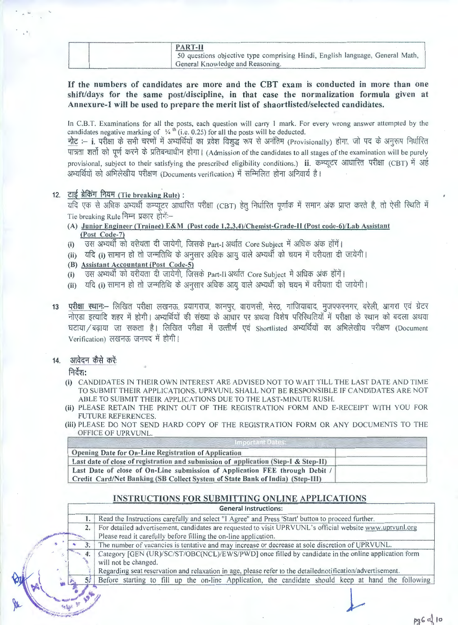| <b>PART-II</b>                                                                |  |
|-------------------------------------------------------------------------------|--|
| 50 questions objective type comprising Hindi, English language, General Math, |  |
| General Knowledge and Reasoning.                                              |  |

### If **the numbers of candidates are more and the CBT exam is conducted in more than one shift/days for the same post/discipline, in that case the normalization formula given at Annexure-1 will be used to prepare the merit list of shaortlisted/selected candidates.**

In C.B.T. Examinations for all the posts, each question will carry 1 mark. For every wrong answer attempted by the candidates negative marking of  $\frac{1}{4}$ <sup>th</sup> (i.e. 0.25) for all the posts will be deducted.

नोट :– i. परीक्षा के सभी चरणों में अभ्यर्थियों का प्रवेश विशुद्ध रूप से अनंतिम (Provisionally) होगा, जो पद के अनुरूप निर्धारित पात्रता शर्तो को पूर्ण करने के प्रतिबन्धाधीन होगा। (Admission of the candidates to all stages of the examination will be purely पात्रता शर्तो को पूर्ण करने के प्रतिबन्धाधीन होगा। (Admission of the candidates to all stages of the examination will be purely<br>provisional, subject to their satisfying the prescribed eligibility conditions.) **ii**. कम्प

12. टाई ब्रेकिंग नियम (Tie breaking Rule) :

यदि एक से अधिक अभ्यर्थी कम्प्यूटर आधारित परीक्षा (CBT) हेत् निर्धारित पूर्णांक में समान अंक प्राप्त करते है, तो ऐसी स्थिति में Tie breaking Rule निम्न प्रकार होगें:--

- **(A) Junior Engineer (Trainee) E&M (Post code 1,2,3,4)/Chemist-Grade-II (Post code-6)/Lab Assistant**  (Post Code-7)
- (i) उस अभ्यर्थी को वरीयता दी जायेगी, जिसके Part-I अर्थात Core Subject में अधिक अंक होंगें।
- (ii) यदि (i) सामान हो तो जन्मतिथि के अनुसार अधिक आयु वाले अभ्यर्थी को चयन में वरीयता दी जायेगी।
- **(B) Assistant Accountant (Post Code-5)**
- (i) उस अभ्यर्थी को वरीयता दी जायेगी, जिसके Part-II अर्थात Core Subject में अधिक अंक होंगें।
- (ii) यदि (i) सामान हो तो जन्मतिथि के अनुसार अधिक आयु वाले अभ्यर्थी को चयन में वरीयता दी जायेगी।
- rested to the rested of the read of the read of the read of the read of the read of the read of the read of th<br>13 The Film लिखित परीक्षा लखनऊ, प्रयागराज, कानपुर, वाराणसी, मेरठ, गाजियाबाद, मुजफ्फरनगर, बरेली, आगरा एवं ग्र ntian ward. Tender nearly, warned, analysing analysing the controlled and the second ward of the second and th<br>नोएडा इत्यादि शहर में होगी। अभ्यर्थियों की संख्या के आधार पर अथवा विशेष परिस्थितियों में परीक्षा के स्थान को ब घटाया ⁄ बढ़ाया जा सकता है। लिखित परीक्षा में उत्त्तीर्ण एवं Shortlisted अभ्यर्थियों का अभिलेखीय परीक्षण (Document<br>Verification) लखनऊ जनपद में होगी।

#### 14. आवेदन कैसे करें:

निर्देश:

- (i) CANDIDATES IN THEIR OWN INTEREST ARE ADVISED NOT TO WAIT TILL THE LAST DATE AND TIME TO SUBMIT THEIR APPLICATIONS. UPRVUNL SHALL NOT BE RESPONSIBLE IF CANDIDATES ARE NOT ABLE TO SUBMIT THEIR APPLICATIONS DUE TO THE LAST-MINUTE RUSH.
- (ii) PLEASE RETAIN THE PRINT OUT OF THE REGISTRATION FORM AND E-RECEIPT WITH YOU FOR FUTURE REFERENCES.
- (iii) PLEASE DO NOT SEND HARD COPY OF THE REGISTRATION FORM OR ANY DOCUMENTS TO THE OFFICE OF UPRVUNL.

| Opening Date for On-Line Registration of Application                                |  |
|-------------------------------------------------------------------------------------|--|
| Last date of close of registration and submission of application (Step-I & Step-II) |  |
| Last Date of close of On-Line submission of Application FEE through Debit /         |  |
| Credit Card/Net Banking (SB Collect System of State Bank of India) (Step-III)       |  |

### **INSTRUCTIONS FOR SUBMITTING ONLINE APPLICATIONS**

**General Instructions:** 

|    |    |                      |  |  | Read the Instructions carefully and select "I Agree" and Press 'Start' button to proceed further.         |  |  |  |  |
|----|----|----------------------|--|--|-----------------------------------------------------------------------------------------------------------|--|--|--|--|
|    | 2. |                      |  |  | For detailed advertisement, candidates are requested to visit UPRVUNL's official website www.uprvunl.org  |  |  |  |  |
|    |    |                      |  |  | Please read it carefully before filling the on-line application.                                          |  |  |  |  |
|    |    |                      |  |  | The number of vacancies is tentative and may increase or decrease at sole discretion of UPRVUNL.          |  |  |  |  |
|    |    |                      |  |  | Category [GEN (UR)/SC/ST/OBC(NCL)/EWS/PWD] once filled by candidate in the online application form        |  |  |  |  |
|    |    | will not be changed. |  |  |                                                                                                           |  |  |  |  |
|    |    |                      |  |  | Regarding seat reservation and relaxation in age, please refer to the detailednotification/advertisement. |  |  |  |  |
|    |    |                      |  |  | Before starting to fill up the on-line Application, the candidate should keep at hand the following       |  |  |  |  |
|    |    |                      |  |  |                                                                                                           |  |  |  |  |
| pr |    |                      |  |  |                                                                                                           |  |  |  |  |
|    |    |                      |  |  |                                                                                                           |  |  |  |  |

pg6 of 10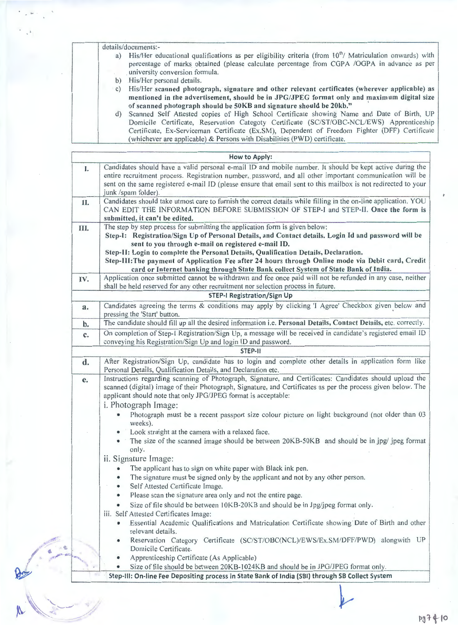details/documents:-

- a) His/Her educational qualifications as per eligibility criteria (from  $10^{th}$ / Matriculation onwards) with percentage of marks obtained (please calculate percentage from COPA /OGPA in advance as per university conversion formula.
- b) His/Her personal details.

c) His/Her scanned photograph, signature and other relevant certificates (wherever applicable) as **mentioned in the advertisement, should be in JPG/JPEG format only and maximum digital size of scanned photograph should be 50KB and signature should be 20kb."** '

d) Scanned Self Attested copies of High School Certificate showing Name and Date of Birth, UP Domicile Certificate, Reservation Categoty Certificate (SC/ST/OBC-NCL/EWS) Apprenticeship Certificate, Ex-Serviceman Certificate (Ex.SM), Dependent of Freedom Fighter (DFF) Certificate (whichever are applicable) & Persons with Disabilities (PWD) certificate.

|      | How to Apply:                                                                                                                                                                                                                                                                                                                                                                                                                                                                                                                                                                                                                                                                                                                                                                     |
|------|-----------------------------------------------------------------------------------------------------------------------------------------------------------------------------------------------------------------------------------------------------------------------------------------------------------------------------------------------------------------------------------------------------------------------------------------------------------------------------------------------------------------------------------------------------------------------------------------------------------------------------------------------------------------------------------------------------------------------------------------------------------------------------------|
| I.   | Candidates should have a valid personal e-mail ID and mobile number. It should be kept active during the<br>entire recruitment process. Registration number, password, and all other important communication will be<br>sent on the same registered e-mail ID (please ensure that email sent to this mailbox is not redirected to your<br>junk /spam folder).                                                                                                                                                                                                                                                                                                                                                                                                                     |
| П.   | Candidates should take utmost care to furnish the correct details while filling in the on-line application. YOU<br>CAN EDIT THE INFORMATION BEFORE SUBMISSION OF STEP-I and STEP-II. Once the form is<br>submitted, it can't be edited.                                                                                                                                                                                                                                                                                                                                                                                                                                                                                                                                           |
| III. | The step by step process for submitting the application form is given below:<br>Step-I: Registration/Sign Up of Personal Details, and Contact details. Login Id and password will be<br>sent to you through e-mail on registered e-mail ID.<br>Step-II: Login to complete the Personal Details, Qualification Details, Declaration.<br>Step-III: The payment of Application Fee after 24 hours through Online mode via Debit card, Credit<br>card or Internet banking through State Bank collect System of State Bank of India.                                                                                                                                                                                                                                                   |
| IV.  | Application once submitted cannot be withdrawn and fee once paid will not be refunded in any case, neither<br>shall be held reserved for any other recruitment nor selection process in future.                                                                                                                                                                                                                                                                                                                                                                                                                                                                                                                                                                                   |
|      | <b>STEP-I Registration/Sign Up</b>                                                                                                                                                                                                                                                                                                                                                                                                                                                                                                                                                                                                                                                                                                                                                |
| a.   | Candidates agreeing the terms & conditions may apply by clicking 'I Agree' Checkbox given below and<br>pressing the 'Start' button.                                                                                                                                                                                                                                                                                                                                                                                                                                                                                                                                                                                                                                               |
| $b$  | The candidate should fill up all the desired information i.e. Personal Details, Contact Details, etc. correctly.                                                                                                                                                                                                                                                                                                                                                                                                                                                                                                                                                                                                                                                                  |
| c.   | On completion of Step-I Registration/Sign Up, a message will be received in candidate's registered email ID<br>conveying his Registration/Sign Up and login ID and password.                                                                                                                                                                                                                                                                                                                                                                                                                                                                                                                                                                                                      |
|      | STEP-II                                                                                                                                                                                                                                                                                                                                                                                                                                                                                                                                                                                                                                                                                                                                                                           |
| d.   | After Registration/Sign Up, candidate has to login and complete other details in application form like<br>Personal Details, Qualification Details, and Declaration etc.                                                                                                                                                                                                                                                                                                                                                                                                                                                                                                                                                                                                           |
| e.   | Instructions regarding scanning of Photograph, Signature, and Certificates: Candidates should upload the<br>scanned (digital) image of their Photograph, Signature, and Certificates as per the process given below. The<br>applicant should note that only JPG/JPEG format is acceptable:<br>i. Photograph Image:<br>Photograph must be a recent passport size colour picture on light background (not older than 03<br>weeks).<br>• Look straight at the camera with a relaxed face.                                                                                                                                                                                                                                                                                            |
|      | The size of the scanned image should be between 20KB-50KB and should be in jpg/ jpeg format<br>$\bullet$<br>only.<br>ii. Signature Image:<br>The applicant has to sign on white paper with Black ink pen.<br>The signature must be signed only by the applicant and not by any other person.<br>٠<br>Self Attested Certificate Image.<br>Please scan the signature area only and not the entire page.<br>۰<br>Size of file should be between 10KB-20KB and should be in Jpg/jpeg format only.<br>iii. Self Attested Certificates Image:<br>Essential Academic Qualifications and Matriculation Certificate showing Date of Birth and other<br>relevant details.<br>Reservation Category Certificate (SC/ST/OBC(NCL)/EWS/Ex.SM/DFF/PWD) alongwith UP<br>۰<br>Domicile Certificate. |
|      | Apprenticeship Certificate (As Applicable)<br>Size of file should be between 20KB-1024KB and should be in JPG/JPEG format only.                                                                                                                                                                                                                                                                                                                                                                                                                                                                                                                                                                                                                                                   |
|      | Step-III: On-line Fee Depositing process in State Bank of India (SBI) through SB Collect System                                                                                                                                                                                                                                                                                                                                                                                                                                                                                                                                                                                                                                                                                   |
|      |                                                                                                                                                                                                                                                                                                                                                                                                                                                                                                                                                                                                                                                                                                                                                                                   |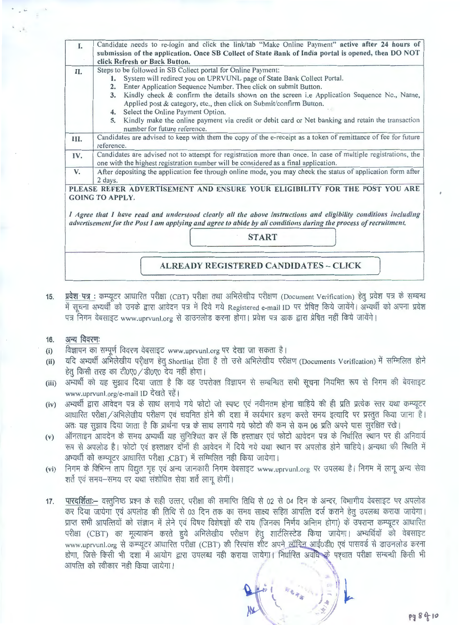| I.   | Candidate needs to re-login and click the link/tab "Make Online Payment" active after 24 hours of                |
|------|------------------------------------------------------------------------------------------------------------------|
|      | submission of the application. Once SB Collect of State Bank of India portal is opened, then DO NOT              |
|      | click Refresh or Back Button.                                                                                    |
| II.  | Steps to be followed in SB Collect portal for Online Payment:                                                    |
|      | 1. System will redirect you on UPRVUNL page of State Bank Collect Portal.                                        |
|      | Enter Application Sequence Number. Then click on submit Button.<br>2.                                            |
|      | Kindly check & confirm the details shown on the screen i.e Application Sequence No., Name,<br>3.                 |
|      | Applied post & category, etc., then click on Submit/confirm Button.                                              |
|      | Select the Online Payment Option.<br>4.                                                                          |
|      | Kindly make the online payment via credit or debit card or Net banking and retain the transaction<br>5.          |
|      | number for future reference.                                                                                     |
| III. | Candidates are advised to keep with them the copy of the e-receipt as a token of remittance of fee for future    |
|      | reference.                                                                                                       |
| IV.  | Candidates are advised not to attempt for registration more than once. In case of multiple registrations, the    |
|      | one with the highest registration number will be considered as a final application.                              |
| V.   | After depositing the application fee through online mode, you may check the status of application form after     |
|      | 2 days.                                                                                                          |
|      | PLEASE REFER ADVERTISEMENT AND ENSURE YOUR ELIGIBILITY FOR THE POST YOU ARE                                      |
|      | <b>GOING TO APPLY.</b>                                                                                           |
|      |                                                                                                                  |
|      | I Agree that I have read and understood clearly all the above instructions and eligibility conditions including  |
|      | advertisement for the Post I am applying and agree to abide by all conditions during the process of recruitment. |
|      |                                                                                                                  |
|      | <b>START</b>                                                                                                     |
|      |                                                                                                                  |
|      |                                                                                                                  |
|      | <b>ALREADY REGISTERED CANDIDATES - CLICK</b>                                                                     |
|      |                                                                                                                  |

**15.**  प्रवेश पत्र : कम्प्यूटर आधारित परीक्षा (CBT) परीक्षा तथा अभिलेखीय परीक्षण (Document Verification) हेतु प्रवेश पत्र के सम्बन्ध में सूचना अभ्यर्थी को उनके द्वारा आवेदन पत्र में दिये गये Registered e-mail ID पर प्रेषित किये जायेंगे। अभ्यर्थी को अपना प्रवेश पत्र निगम वेबसाइट www.uprvunl.org से डाउनलोड करना होगा। प्रवेश पत्र डाक द्वारा प्रेषित नहीं किये जायेंगे।

#### **16.**  अन्य विवरणः

- (i) विज्ञापन का सम्पूर्ण विवरण वेबसाइट www.uprvunl.org पर देखा जा सकता है।
- (ii) यदि अभ्यर्थी अभिलेखीय परीक्षण हेतु Shortlist होता है तो उसे अभिलेखीय परीक्षण (Documents Verification) में सम्मिलित होने  $\dot{\epsilon}$ त् किसी तरह का टी0ए0 / डी0ए0 देय नहीं होगा।
- (iii) अभ्यर्थी को यह सुझाव दिया जाता है कि वह उपरोक्त विज्ञापन से सम्बन्धित सभी सूचना नियमित रूप से निगम की बेवसाइट www.uprvunl.org/e-mail ID देखते रहें।
- **(iv)**  अभ्यर्थी द्वारा आवेदन पत्र के साथ लगाये गये फोटो जो स्पष्ट एवं नवीनतम होना चाहिये की ही प्रति प्रत्येक स्तर यथा कम्प्यूटर आधारित परीक्षा / अभिलेखीय परीक्षण एवं चयनित होने की दशा में कार्यभार ग्रहण करते समय इत्यादि पर प्रस्तुत किया जाना है। अतः यह सूझाव दिया जाता है कि प्रार्थना पत्र के साथ लगाये गये फोटो की कम से कम 06 प्रति अपने पास सुरक्षित रखे।
- **(v)**  ऑनलाइन आवदेन के समय अभ्यर्थी यह सुनिश्चित कर लें कि हस्ताक्षर एवं फोटो आवेदन पत्र के निर्धारित स्थान पर ही अनिवार्य रूप से अपलोड है। फोटो एवं हस्ताक्षर दोनों ही आवेदन में दिये गये यथा स्थान पर अपलोड होने चाहिये। अन्यथा की स्थिति में अभ्यर्थी को कम्प्यूटर आधारित परीक्षा ;CBT) में सम्मिलित नही किया जायेगा।
- **(vi)**  निगम के विभिन्न ताप विद्युत गृह एवं अन्य जानकारी निगम वेबसाइट www.uprvunl.org पर उपलब्ध है। निगम में लागू अन्य सेवा शर्ते एवं समय-समय पर यथा संशोधित सेवा शर्ते लागू होगीं।
- पारदर्शिता:-- वस्तुनिष्ठ प्रश्न के सही उत्तर, परीक्षा की समाप्ति तिथि से 02 से 04 दिन के अन्दर, विभागीय वेबसाइट पर अपलोड **17.**  कर दिया जायेगा एवं अपलोड की तिथि से 03 दिन तक का समय साक्ष्य सहित आपत्ति दर्ज कराने हेतु उपलब्ध कराया जायेगा। प्राप्त सभी आपत्तियों को संज्ञान में लेने एवं विषय विशेषज्ञों की राय (जिनका निर्णय अन्तिम होगा) के उपरान्त कम्प्यूटर आधारित परीक्षा (CBT) का मूल्याकन करते हुये अभिलेखीय परीक्षण हेतु शार्टलिस्टेड किया जायेगा। अभ्यर्थियों को वेबसाइट www.uprvunl.org से कम्प्यूटर आधारित परीक्षा (CBT) की रिस्पांस शीट अपने लॉगिन आई0डी0 एवं पासवर्ड से डाउनलोड करना होगा, जिसे किसी भी दशा में आयोग द्वारा उपलब्ध नही कराया जायेगा। निर्धारित अवधि के पश्चात परीक्षा सम्बन्धी किसी भी आपत्ति को स्वीकार नही किया जायेगा।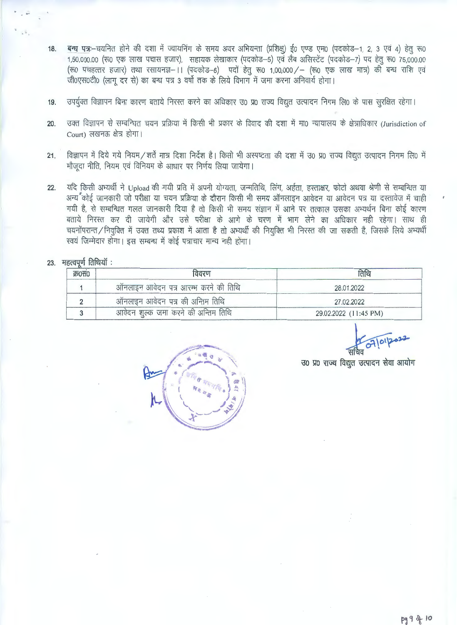- 18. बन्ध पत्र:--चयनित होने की दशा में ज्वायनिंग के समय अवर अभियन्ता (प्रशिक्ष) ई0 एण्ड एम0 (पदकोड-1, 2, 3 एवं 4) हेत् रू0 1,50,000.00 (रू0 एक लाख पचास हजार), सहायक लेखाकार (पदकोड-5) एवं लैब असिस्टेंट (पदकोड-7) पद हेतू रू0 75,000.00 (रू0 पचहत्तर हजार) तथा रसायनज्ञ- ।। (पदकोड-6) पदों हेतु रू0 1,00,000 / - (रू0 एक लाख मात्र) की बन्ध राशि एवं  $\delta$ 0एस0टी0 (लागू दर से) का बन्ध पत्र 3 वर्षो तक के लिये विभाग में जमा करना अनिवार्य होगा।
- 19. उपर्युक्त विज्ञापन बिना कारण बताये निरस्त करने का अधिकार उ0 प्र0 राज्य विद्युत उत्पादन निगम लि0 के पास सूरक्षित रहेगा।
- 20. उक्त विज्ञापन से सम्बन्धित चयन प्रक्रिया में किसी भी प्रकार के विवाद की दशा में मा0 न्यायालय के क्षेत्राधिकार (Jurisdiction of Court) लखनऊ क्षेत्र होगा।
- 21. विज्ञापन में दिये गये नियम/शर्ते मात्र दिशा निर्देश है। किसी भी अस्पष्टता की दशा में उ0 प्र0 राज्य विद्युत उत्पादन निगम लि0 में मौजदा नीति, नियम एवं विनियम के आधार पर निर्णय लिया जायेगा।
- 22. यदि किसी अभ्यर्थी ने Upload की गयी प्रति में अपनी योग्यता, जन्मतिथि, लिंग, अर्हता, हस्ताक्षर, फोटो अथवा श्रेणी से सम्बन्धित या 3Rl *<sup>1</sup> <sup>~</sup>*IJ'IHc/ll~ \JlT -qftw 7.11 ~ J:rmJ<n cB" 00 fcrixfr 'lfr ~ 311-i&ll~-i JOO 7.11 JOO "CBr 7.11 ~xf11~01 # ~ अन्य<sup></sup>ैंकोई जानकारी जो परीक्षा या चयन प्रक्रिया के दौरान किसी भी समय ऑनलाइन आवेदन या आवेदन पत्र या दस्तावेज में चाही<br>गयी है, से सम्बन्धित गलत जानकारी दिया है तो किसी भी समय संज्ञान में आने पर तत्काल उसका अभ्यर्थन बिना कोई गयी है, से सम्बन्धित गलत जानकारी दिया है तो किसी भी समय संज्ञान में आने पर तत्काल उसका अभ्यर्थन बिना कोई कारण<br>बताये<sub>.</sub> निरस्त कर दी जायेगी और उसे परीक्षा के आगे के चरण में भाग लेने का अधिकार नही रहेगा। साथ ही बताये निरस्त कर दी जायेगी और उसे परीक्षा के आगे के चरण में भाग लेने का अधिकार नही रहेगा। साथ ही<br>चयनोंपरान्त ⁄ नियुक्ति में उक्त तथ्य प्रकाश में आता है तो अभ्यर्थी की नियुक्ति भी निरस्त की जा सकती है, जिसके लिये अभ्यर्थी स्वयं जिम्मेदार होगा। इस सम्बन्ध में कोई पत्राचार मान्य नही होगा।

# 23. **महत्वपर्ण** तिथियॉ:

| क0स0 | विवरण                                | तिथि                  |
|------|--------------------------------------|-----------------------|
|      | ऑनलाइन आवेदन पत्र आरम्भ करने की तिथि | 28.01.2022            |
|      | ऑनलाइन आवेदन पत्र की अन्तिम तिथि     | 27.02.2022            |
|      | आवेदन शुल्क जमा करने की अन्तिम तिथि  | 29.02.2022 (11:45 PM) |

 $O7|O1|20$ 

उ० प्र० राज्य विद्युत उत्पादन सेवा आयोग